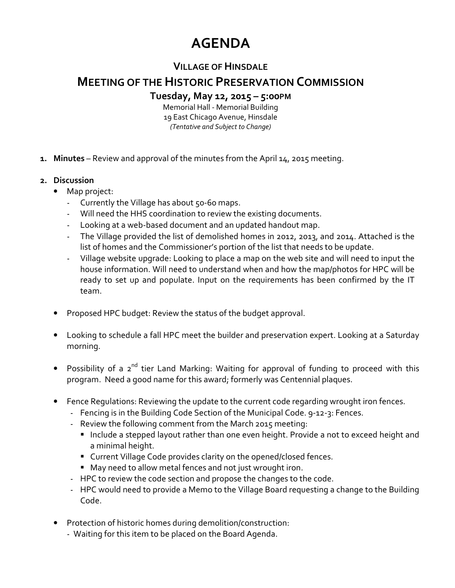## **AGENDA**

## **VILLAGE OF HINSDALE**

## **MEETING OF THE HISTORIC PRESERVATION COMMISSION**

**Tuesday, May 12, 2015 – 5:00PM**

Memorial Hall - Memorial Building 19 East Chicago Avenue, Hinsdale *(Tentative and Subject to Change)* 

- **1. Minutes** Review and approval of the minutes from the April 14, 2015 meeting.
- **2. Discussion** 
	- Map project:
		- Currently the Village has about 50-60 maps.
		- Will need the HHS coordination to review the existing documents.
		- Looking at a web-based document and an updated handout map.
		- The Village provided the list of demolished homes in 2012, 2013, and 2014. Attached is the list of homes and the Commissioner's portion of the list that needs to be update.
		- Village website upgrade: Looking to place a map on the web site and will need to input the house information. Will need to understand when and how the map/photos for HPC will be ready to set up and populate. Input on the requirements has been confirmed by the IT team.
	- Proposed HPC budget: Review the status of the budget approval.
	- Looking to schedule a fall HPC meet the builder and preservation expert. Looking at a Saturday morning.
	- Possibility of a  $2^{nd}$  tier Land Marking: Waiting for approval of funding to proceed with this program. Need a good name for this award; formerly was Centennial plaques.
	- Fence Regulations: Reviewing the update to the current code regarding wrought iron fences.
		- Fencing is in the Building Code Section of the Municipal Code. 9-12-3: Fences.
		- Review the following comment from the March 2015 meeting:
			- **Include a stepped layout rather than one even height. Provide a not to exceed height and** a minimal height.
			- Current Village Code provides clarity on the opened/closed fences.
			- May need to allow metal fences and not just wrought iron.
		- HPC to review the code section and propose the changes to the code.
		- HPC would need to provide a Memo to the Village Board requesting a change to the Building Code.
	- Protection of historic homes during demolition/construction:
		- Waiting for this item to be placed on the Board Agenda.